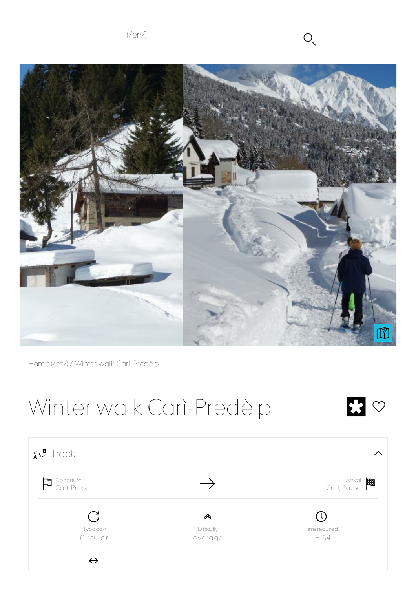$(Ven)$   $O \sim$ 



Home(/en/) / Winter walk Carì-Predèlp

# Winter walk Carì-Predèlp<br>
S

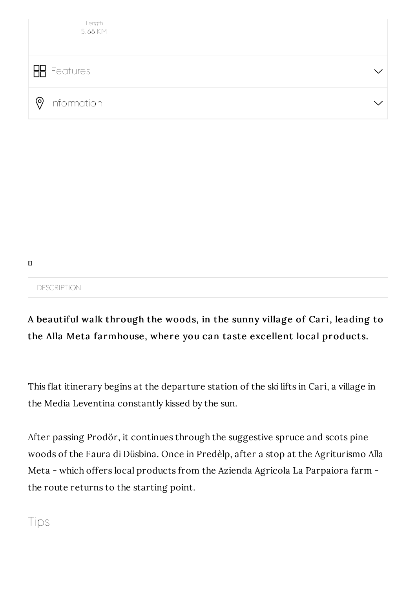

 $\Box$ 

#### DESCRIPTION

### A beautiful walk through the woods, in the sunny village of Cari, leading to the Alla Meta farmhouse, where you can taste excellent local products.

This flat itinerary begins at the departure station of the ski lifts in Carì, a village in the Media Leventina constantly kissed by the sun.

After passing Prodör, it continues through the suggestive spruce and scots pine woods of the Faura di Düsbina. Once in Predèlp, after a stop at the Agriturismo Alla Meta - which offers local products from the Azienda Agricola La Parpaiora farm the route returns to the starting point.

### Tips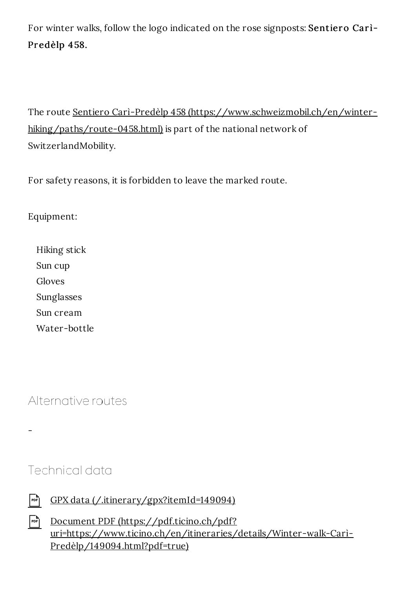For winter walks, follow the logo indicated on the rose signposts: Sentiero Cari-Predèlp 458.

The route Sentiero Carì-Predèlp 458 (https://www.schweizmobil.ch/en/winterhiking/paths/route-0458.html) is part of the national network of SwitzerlandMobility.

For safety reasons, it is forbidden to leave the marked route.

#### Equipment:

Hiking stick Sun cup Gloves Sunglasses Sun cream Water-bottle

Alternative routes

Technical data

 $\overline{\phantom{0}}$ 

| FIDED GPX data (/.itinerary/gpx?itemId=149094) |
|------------------------------------------------|
|                                                |

| Document PDF (https://pdf.ticino.ch/pdf?                           |
|--------------------------------------------------------------------|
| uri=https://www.ticino.ch/en/itineraries/details/Winter-walk-Cari- |
| Predèlp/149094.html?pdf=true)                                      |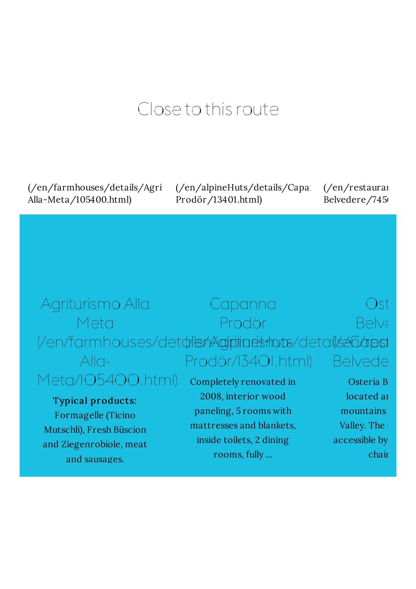## Close to this route

 $\frac{1}{\text{cm}}$ /farmhouses/details/Agri Alla-Meta/105400.html)

 $\frac{1}{\text{cm}}$ /alpineHuts/details/Capan Prodör/13401.html)

 $\frac{1}{en}$ /restaurai Belvedere/7456

(/en/restaurants/details/Osteria-

#### Agriturismo Alla Meta (/en/farmhouses/det¢ilshAglptineshots/details26apst Alla-Meta/105400.html) Typical products: Formagelle (Ticino Mutschli), Fresh Büscion and Ziegenrobiole, meat and sausages. Capanna Prodör Prodör/13401.html) Completely renovated in 2008, interior wood paneling, 5 rooms with mattresses and blankets, inside toilets, 2 dining rooms, fully ... Osteria **Osteria** Belve Belveder Osteria B located an mountains Valley. The  $\frac{1}{2}$ accessible by chair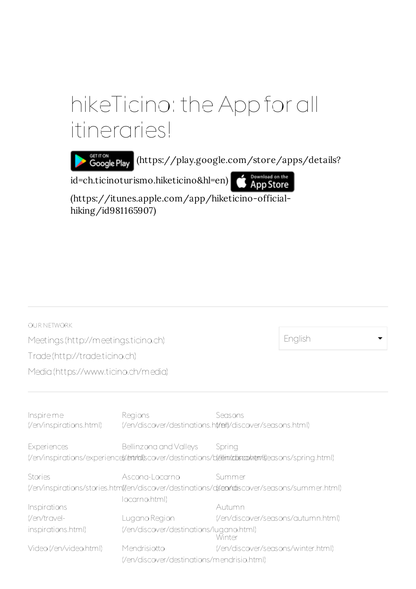## hikeTicino: the App for all itineraries!

GETITON (https://play.google.com/store/apps/details?

id=ch.ticinoturismo.hiketicino&hl=en)

Bownload on the

(https://itunes.apple.com/app/hiketicino-officialhiking/id981165907)

| <b>OUR NETWORK</b>                                                                            |                                                                                                                                         |                                    |  |  |  |  |  |  |
|-----------------------------------------------------------------------------------------------|-----------------------------------------------------------------------------------------------------------------------------------------|------------------------------------|--|--|--|--|--|--|
| Meetings (http://meetings.ticino.ch)                                                          | English                                                                                                                                 |                                    |  |  |  |  |  |  |
| Trade(http://trade.ticino.ch)                                                                 |                                                                                                                                         |                                    |  |  |  |  |  |  |
| Media (https://www.ticino.ch/media)                                                           |                                                                                                                                         |                                    |  |  |  |  |  |  |
|                                                                                               |                                                                                                                                         |                                    |  |  |  |  |  |  |
| Inspireme<br>(/en/inspirations.html)                                                          | Regions<br>(/en/discover/destinations.ht/alt/discover/seasons.html)                                                                     | Seasons                            |  |  |  |  |  |  |
| Experiences                                                                                   | Bellinzona and Valleys Spring<br>(/en/inspirations/experience(s/entr/all)scover/destinations/b(ettim/ztitstaphetn/s)easons/spring.html) |                                    |  |  |  |  |  |  |
| Stories                                                                                       | Ascona-Locarno                                                                                                                          | Summer                             |  |  |  |  |  |  |
| (/en/inspirations/stories.htm()/en/discover/destinations/dsen/ridiscover/seasons/summer.html) |                                                                                                                                         |                                    |  |  |  |  |  |  |
| Inspirations                                                                                  | locarno.html)                                                                                                                           | Autumn                             |  |  |  |  |  |  |
| (/en/travel-                                                                                  | Lugano Region                                                                                                                           | (/en/discover/seasons/autumn.html) |  |  |  |  |  |  |
| inspirations.html)                                                                            | (/en/discover/destinations/lugano.html)                                                                                                 | Winter                             |  |  |  |  |  |  |
| Video (/en/video.html)                                                                        | Mendrisiotto<br>(/en/discover/destinations/mendrisio.html)                                                                              | (/en/discover/seasons/winter.html) |  |  |  |  |  |  |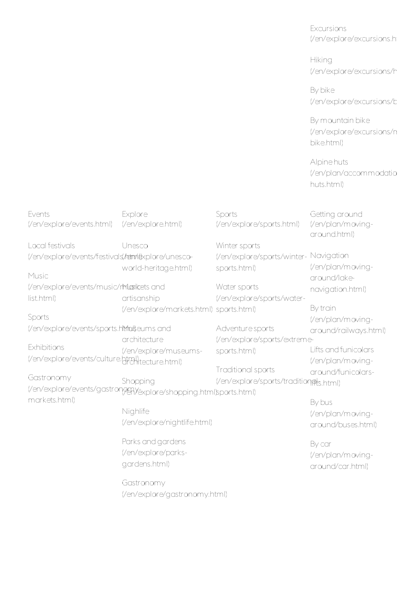Excursions (/en/explore/excursions.html)

**Hiking** (/en/explore/excursions/h

By bike (/en/explore/excursions/bike

By mountain bike (/en/explore/excursions/n bike.html)

Alpine huts (/en/plan/accommodatio huts.html)

| Events                                              | Explore                                                            | Sports                                 | Getting around                    |
|-----------------------------------------------------|--------------------------------------------------------------------|----------------------------------------|-----------------------------------|
| (/en/explore/events.html)                           | (/en/explore.html)                                                 | (/en/explore/sports.html)              | (/en/plan/moving-<br>around.html) |
| Local festivals                                     | Unesco                                                             | Winter sports                          |                                   |
| (/en/explore/events/festivals/tatm/dexplore/unesco- |                                                                    | (/en/explore/sports/winter-            | Navigation                        |
|                                                     | world-heritage.html)                                               | sports.html)                           | (/en/plan/moving-                 |
| Music                                               |                                                                    |                                        | around/lake-                      |
| (/en/explore/events/music/rMaxikets and             |                                                                    | Water sports                           | navigation.html)                  |
| list.html)                                          | artisanship                                                        | (/en/explore/sports/water-             |                                   |
|                                                     | (/en/explore/markets.html) sports.html)                            |                                        | By train                          |
| Sports                                              |                                                                    |                                        | (/en/plan/moving-                 |
| (/en/explore/events/sports.htmluiteums and          |                                                                    | Adventure sports                       | around/railways.html)             |
|                                                     | architecture                                                       | (/en/explore/sports/extreme-           |                                   |
| Exhibitions                                         | (/en/explore/museums-                                              | sports.html)                           | Lifts and funicolars              |
| (/en/explore/events/culture.html)                   |                                                                    |                                        | (/en/plan/moving-                 |
|                                                     |                                                                    | Traditional sports                     | around/funicolars-                |
| Gastronomy                                          | Shopping                                                           | (/en/explore/sports/tradition@ts.html) |                                   |
|                                                     | (/en/explore/events/gastron999) explore/shopping.html)sports.html) |                                        |                                   |
| markets.html)                                       |                                                                    |                                        | By bus                            |
|                                                     | Nighlife                                                           |                                        | (/en/plan/moving-                 |
|                                                     | (/en/explore/nightlife.html)                                       |                                        | around/buses.html)                |
|                                                     | Parks and gardens                                                  |                                        | By car                            |
|                                                     | (/en/explore/parks-                                                |                                        | (/en/plan/moving-                 |
|                                                     | gardens.html)                                                      |                                        | around/car.html)                  |
|                                                     | Gastronomy                                                         |                                        |                                   |
|                                                     | (/en/explore/gastronomy.html)                                      |                                        |                                   |
|                                                     |                                                                    |                                        |                                   |